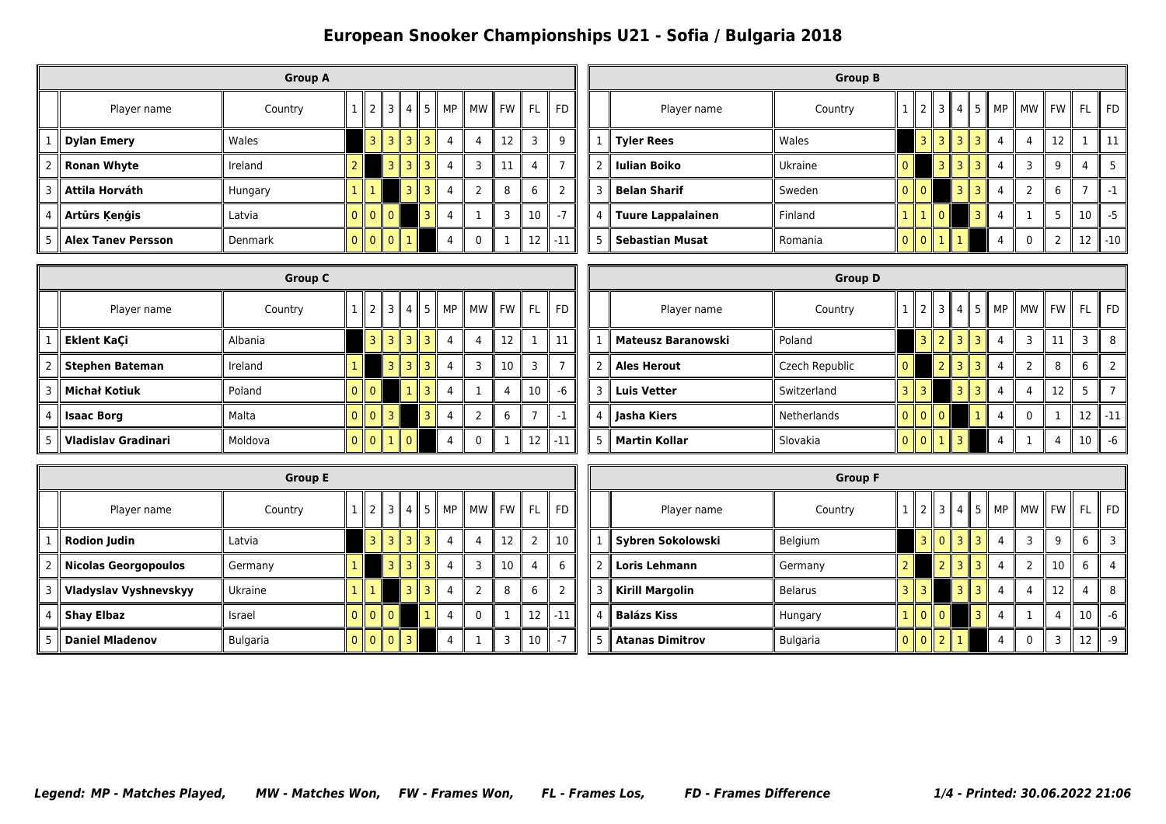|                |                           | <b>Group A</b> |                |              |               |                |      |                |               |       |           |           |
|----------------|---------------------------|----------------|----------------|--------------|---------------|----------------|------|----------------|---------------|-------|-----------|-----------|
|                | Player name               | Country        |                |              | 2  3  4       |                | 5 II | MP             | MW            | II FW | <b>FL</b> | <b>FD</b> |
|                | <b>Dylan Emery</b>        | Wales          |                | 3 II         | 3             | Ш<br>3         | 3    | 4              | 4             | 12    | 3         | 9         |
| $\overline{2}$ | <b>Ronan Whyte</b>        | Ireland        | 2              |              | з∥            | 3 II           | 3    | $\overline{4}$ | 3             | 11    | 4         |           |
| 3              | Attila Horváth            | Hungary        |                |              |               | 3 I            | 3    | 4              | $\mathcal{P}$ | 8     | 6         | ว         |
| 4              | Arturs Ķeņģis             | Latvia         | 0 <sup>1</sup> | $0$   $0$    |               |                | 3    | $\overline{4}$ |               | 3     | 10        | $-7$      |
| 5              | <b>Alex Tanev Persson</b> | <b>Denmark</b> | 0<br>Ш         | $\mathbf{0}$ | $\Omega$<br>Ш | $\mathsf{I}$ 1 |      | 4              | 0             | ٦     | 12        | $-11$     |

|                     |                        | <b>Group B</b> |          |                                                                       |                |                |                    |                |                                             |    |    |                  |
|---------------------|------------------------|----------------|----------|-----------------------------------------------------------------------|----------------|----------------|--------------------|----------------|---------------------------------------------|----|----|------------------|
|                     | Player name            | Country        |          | $\parallel$ 2                                                         | $\overline{3}$ | $\overline{4}$ | $\sqrt{4}$ 5 $\mu$ |                | $MP \parallel MW \parallel FW \parallel FL$ |    |    | <b>FD</b>        |
|                     | $\parallel$ Tyler Rees | Wales          |          | 3                                                                     | $\overline{3}$ | 3              | 3                  | 4              | 4                                           | 12 |    |                  |
| $\overline{2}$<br>Ш | II Iulian Boiko        | Ukraine        | 0        |                                                                       | $\overline{3}$ | 3              | 3                  | 4              | ς                                           | 9  | 4  |                  |
| 3                   | <b>Belan Sharif</b>    | Sweden         | $\Omega$ | $\mathsf{I}$ 0                                                        |                | 3              | 3                  | $\overline{4}$ | C                                           | 6  |    |                  |
| 4                   | Tuure Lappalainen      | Finland        | 1        | $\parallel$ 1                                                         | $\mathsf{I}$ 0 |                | 3                  | 4              |                                             | 5  | 10 | $-5$             |
| 5                   | <b>Sebastian Musat</b> | Romania        | $\Omega$ | $\begin{array}{c} \n\end{array}$ 0 $\begin{array}{c} \n\end{array}$ 1 |                | $\overline{1}$ |                    |                | 0                                           | 2  | 12 | $-10$ $^{\circ}$ |

|                            | <b>Group C</b> |                                                      |                     |              |                            |           |              |                 |    |                                           |   |                           | <b>Group D</b> |                |                         |                |                |                |                |                                  |           |                |       |
|----------------------------|----------------|------------------------------------------------------|---------------------|--------------|----------------------------|-----------|--------------|-----------------|----|-------------------------------------------|---|---------------------------|----------------|----------------|-------------------------|----------------|----------------|----------------|----------------|----------------------------------|-----------|----------------|-------|
| Player name                | Country        |                                                      |                     |              | $1 \  2 \  3 \  4 \  5 \ $ | <b>MP</b> |              |                 |    | $MW \rVert FW \rVert FL \rVert FD \rVert$ |   | Player name               | Country        |                | 2 <sub>1</sub>          |                | 3   4          |                |                | !5    MP    MW    FW    FL    FD |           |                |       |
| Eklent KaCi                | Albania        |                                                      | $3$ $3$ $1$ $3$ $1$ |              | $\overline{3}$             |           |              | 12              |    | 11.                                       |   | Mateusz Baranowski        | Poland         |                | 3 <sup>1</sup>          | 2 I            | -3 II          | 3 <sup>1</sup> | $\overline{4}$ | 3                                | <b>11</b> | $\overline{3}$ | 8     |
| Stephen Bateman            | Ireland        |                                                      | l 3 I               |              | $\overline{3}$             |           |              | 10 <sup>°</sup> | 3  |                                           |   | <b>Ales Herout</b>        | Czech Republic | 0              |                         | 2 <sub>1</sub> | 3 <sup>1</sup> | 3 <sup>1</sup> | $\overline{4}$ |                                  | 8         | 6              |       |
| Michał Kotiuk              | Poland         | $\overline{\phantom{a}}$ of $\overline{\phantom{a}}$ |                     | $\mathbf{1}$ | $\overline{3}$             |           |              |                 | 10 | $-6$                                      | 3 | ∥ Luis Vetter             | Switzerland    | 3 <sup>1</sup> | 3 <sub>1</sub>          |                | 3 <sup>1</sup> | 3 I            | $\overline{4}$ |                                  | 12        | 5              |       |
| <b>Isaac Borg</b>          | Malta          |                                                      | 0 0 3               |              | $\mathbf{R}$               |           |              |                 |    | $-1$                                      |   | Jasha Kiers               | Netherlands    | 0 <sup>1</sup> | $\overline{\mathbf{0}}$ | $\overline{0}$ |                |                | $\overline{4}$ |                                  |           | 12             | $-11$ |
| <b>Vladislav Gradinari</b> | Moldova        |                                                      | 00110               |              |                            |           | $\mathbf{0}$ | $\mathbf{1}$    | 12 | ا 11-،                                    |   | $\parallel$ Martin Kollar | Slovakia       |                |                         | $0$ 0 $1$      | $\overline{3}$ |                | $\overline{4}$ |                                  |           | 10             | -6    |

|   |                        | <b>Group E</b>  |              |                                           |      |                |           |    |   |           |                |           |
|---|------------------------|-----------------|--------------|-------------------------------------------|------|----------------|-----------|----|---|-----------|----------------|-----------|
|   | Player name            | Country         |              | II 2 II                                   | 3 II | $\overline{4}$ | 5 II<br>Ш | MP |   | MW I FW I | <b>FL</b>      | <b>FD</b> |
|   | <b>Rodion Judin</b>    | Latvia          |              | 3 II                                      |      | $3$   $3$      | 3         | 4  | 4 | 12        | $\overline{2}$ | 10        |
| 2 | Nicolas Georgopoulos   | Germany         |              |                                           | 3 II | 3 I            | 3         | 4  | 3 | 10        | 4              | 6         |
| 3 | Vladyslav Vyshnevskyy  | Ukraine         |              |                                           |      | 3 II           | 3         | 4  | 2 | 8         | 6              | ำ         |
| 4 | <b>Shay Elbaz</b>      | Israel          |              | $0$ 0 0 0                                 |      |                |           | 4  | 0 |           | 12             | $-11$     |
| 5 | <b>Daniel Mladenov</b> | <b>Bulgaria</b> | $\mathbf{0}$ | $\parallel$ 0 $\parallel$ 0 $\parallel$ 3 |      |                |           | 4  |   | 3         | 10             | $-7$      |

|               |                        | <b>Group F</b>  |                             |                       |   |                |              |         |           |           |
|---------------|------------------------|-----------------|-----------------------------|-----------------------|---|----------------|--------------|---------|-----------|-----------|
|               | Player name            | Country         | 1213                        | 14 II                 | 5 | MP I           |              | MW FW I | <b>FL</b> | <b>FD</b> |
|               | Sybren Sokolowski      | Belgium         | 3 II                        | $0$   $3$   $3$       |   | 4              | 3            | 9       | 6         | 3         |
| $\mathcal{P}$ | <b>Loris Lehmann</b>   | Germany         |                             | 3 I                   | 3 | 4              |              | 10      | 6         | 4         |
| 3             | <b>Kirill Margolin</b> | <b>Belarus</b>  | 3                           | 3                     | R | 4              | 4            | 12      | 4         | 8         |
| 4             | <b>Balázs Kiss</b>     | Hungary         | $\parallel$ 0 $\parallel$ 0 |                       | 3 | $\overline{4}$ |              | 4       | 10        | $-6$      |
| 5             | <b>Atanas Dimitrov</b> | <b>Bulgaria</b> | $\parallel$ 0 $\parallel$ 2 | <b>H</b> <sub>1</sub> |   | 4              | $\mathbf{0}$ | 3       | 12        | $-9$      |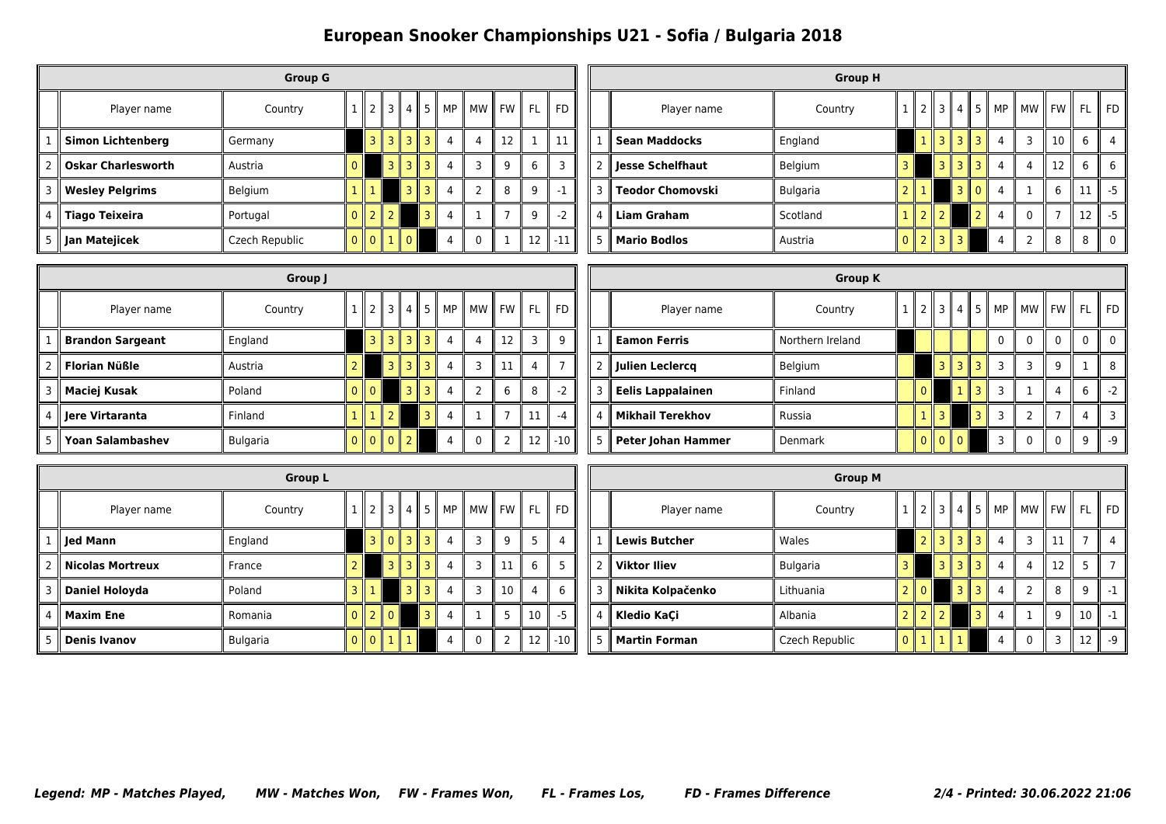|   |                            | <b>Group G</b> |                           |              |                   |   |    |                |           |    |           |
|---|----------------------------|----------------|---------------------------|--------------|-------------------|---|----|----------------|-----------|----|-----------|
|   | Player name                | Country        |                           | $2$   $3$    | $\mathbf{I}$<br>4 | 5 | MP | <b>MW</b>      | <b>FW</b> | FL | <b>FD</b> |
|   | <b>Simon Lichtenberg</b>   | Germany        | R<br>Ш                    | R<br>Ш       | 3 I               | 3 | 4  | 4              | 12        |    | 11        |
|   | <b>Oskar Charlesworth</b>  | Austria        |                           | 3 II         | 3 I               | 3 | 4  | 3              | 9         | 6  | 3         |
| 3 | <b>Wesley Pelgrims</b>     | Belgium        |                           |              | зI                | 3 | 4  | $\overline{2}$ | 8         | 9  | $-1$      |
|   | $\parallel$ Tiago Teixeira | Portugal       | 2<br>$\mathbb{I}$         | $\mathsf{L}$ |                   | 3 | 4  |                |           | 9  | $-2$      |
| 5 | Jan Matejicek              | Czech Republic | $\parallel$ 0 $\parallel$ | Ш            | $\theta$          |   |    | $\mathbf{0}$   |           | 12 | $-11$     |

|   |                      | <b>Group H</b>  |          |                |                             |                                 |                |   |                                       |    |     |      |
|---|----------------------|-----------------|----------|----------------|-----------------------------|---------------------------------|----------------|---|---------------------------------------|----|-----|------|
|   | Player name          | Country         |          | 2              |                             |                                 |                |   | $\ 3\ 4\ 5\ $ MP $\ $ MW $\ $ FW $\ $ |    | -FL | FD   |
|   | <b>Sean Maddocks</b> | England         |          |                |                             | I 3 I 3 I 3 I                   |                | 4 | 3                                     | 10 | 6   |      |
| 2 | Jesse Schelfhaut     | Belgium         | 3        |                |                             | $3 \parallel 3$<br>$\mathbf{I}$ | 3              | 4 | 4                                     | 12 | 6   | 6    |
| 3 | ∥ Teodor Chomovski   | <b>Bulgaria</b> |          |                |                             | 3 II                            | $\Omega$       | 4 |                                       | 6  |     | -5   |
| 4 | <b>Liam Graham</b>   | Scotland        |          | $\parallel$ 2  | $\mathsf{I}$                |                                 | $\overline{2}$ | 4 | $\Omega$                              |    | 12  | $-5$ |
| 5 | <b>Mario Bodlos</b>  | Austria         | $\Omega$ | $\mathsf{I}$ 2 | $\parallel$ 3 $\parallel$ 3 |                                 |                | 4 | 2                                     | 8  | 8   |      |

|                         | Group J  |                |           |                 |                |                |                   |                |   |                 |                      |  |                          | <b>Group K</b>   |  |                |                     |            |                |             |                                                   |          |                |
|-------------------------|----------|----------------|-----------|-----------------|----------------|----------------|-------------------|----------------|---|-----------------|----------------------|--|--------------------------|------------------|--|----------------|---------------------|------------|----------------|-------------|---------------------------------------------------|----------|----------------|
| Player name             | Country  |                |           |                 |                |                | 3    4    5    MP |                |   |                 | MW    FW    FL    FD |  | Player name              | Country          |  |                |                     |            |                |             | $1$   2   3   4   5    MP    MW    FW    FL    FD |          |                |
| <b>Brandon Sargeant</b> | England  |                | 3 II      | 3 <sup>1</sup>  | $\mathbf{3}$   | $\mathbf{3}$   |                   | 12             |   | 3               |                      |  | <b>Eamon Ferris</b>      | Northern Ireland |  |                |                     |            | 0              | $\Omega$    | $\Omega$                                          |          | $\overline{0}$ |
| Florian Nüßle           | Austria  |                |           | $\overline{3}$  | 3 II           | 3 <sub>1</sub> |                   | 11             |   |                 |                      |  | Julien Leclercq          | Belgium          |  |                |                     | $3$ 3 $3$  | $\overline{3}$ | 3           | 9                                                 |          |                |
| Maciej Kusak            | Poland   |                | $0$   $0$ |                 | 3 <sub>1</sub> | 3              |                   |                | 6 | 8               | $-2$                 |  | <b>Eelis Lappalainen</b> | Finland          |  |                |                     | $1$    $3$ | 3              |             | 4                                                 | ĥ        | - 2            |
| Jere Virtaranta         | Finland  | 1 <sup>1</sup> |           | 2 <sub>1</sub>  |                |                |                   |                |   | 11              | $-4$                 |  | <b>Mikhail Terekhov</b>  | l Russia         |  | 3 <sup>1</sup> |                     | l 3.       | 3              |             |                                                   |          |                |
| <b>Yoan Salambashev</b> | Bulgaria |                |           | $0$   $0$   $0$ | 2 <sub>1</sub> |                |                   | $\overline{2}$ |   | 12 <sup>2</sup> | $-10$                |  | Peter Johan Hammer       | l Denmark        |  |                | $\  0 \  0 \  0 \ $ |            | $\overline{3}$ | $\mathbf 0$ | $\mathbf 0$                                       | $\Omega$ | - 9            |

|               |                       | <b>Group L</b>  |              |                |                        |    |   |           |         |                |           |           |
|---------------|-----------------------|-----------------|--------------|----------------|------------------------|----|---|-----------|---------|----------------|-----------|-----------|
|               | Player name           | Country         | $\mathbf{I}$ |                | $2$   3                | 4  | 5 | <b>MP</b> | MW   FW |                | <b>FL</b> | <b>FD</b> |
|               | Jed Mann              | England         |              |                | 303                    |    | 3 | 4         | 3       | 9              | 5         | 4         |
| $\mathcal{P}$ | Nicolas Mortreux      | France          |              |                | 3                      | 3. | 3 | 4         | 3       | 11             | 6         |           |
| 3             | <b>Daniel Holoyda</b> | Poland          | ٦            |                |                        | 3  | 3 | 4         | 3       | 10             | 4         | 6         |
| 4             | <b>Maxim Ene</b>      | Romania         | $\Omega$     | $\parallel$ 2  | $\mathsf I\mathsf I$ 0 |    | ٩ | 4         | 1       | 5              | 10        | $-5$      |
| 5             | <b>Denis Ivanov</b>   | <b>Bulgaria</b> | 0            | $\mathsf{I}$ 0 | $\mathbb{I}$ 1         |    |   | 4         | 0       | $\overline{2}$ | 12        | $-10$     |

|                |                      | <b>Group M</b>  |          |          |      |                 |   |                |                                          |    |     |           |
|----------------|----------------------|-----------------|----------|----------|------|-----------------|---|----------------|------------------------------------------|----|-----|-----------|
|                | Player name          | Country         |          |          |      |                 |   |                | $\ 2\ 3\ 4\ 5\ $ MP $\ $ MW $\ $ FW $\ $ |    | FL. | <b>FD</b> |
| 1              | $\ $ Lewis Butcher   | Wales           |          | 2 I      | 3 II | $3 \parallel 3$ |   | $\overline{4}$ | 3                                        | 11 |     | 4         |
| $\overline{2}$ | <b>Viktor Iliev</b>  | <b>Bulgaria</b> | 3        |          | 3 II | $3 \parallel 3$ |   | $\overline{4}$ | 4                                        | 12 | 5   |           |
| 3              | Nikita Kolpačenko    | Lithuania       |          | $\Omega$ |      | 3 II            | 3 | 4              | $\overline{\phantom{0}}$                 | 8  | 9   | $-1$      |
| 4              | Kledio KaÇi          | Albania         |          | 1212     |      |                 | 3 | 4              |                                          | 9  | 10  | $-1$      |
| 5              | <b>Martin Forman</b> | Czech Republic  | $\Omega$ | 1111     |      |                 |   | 4              | $\Omega$                                 |    | 12  | $-9$      |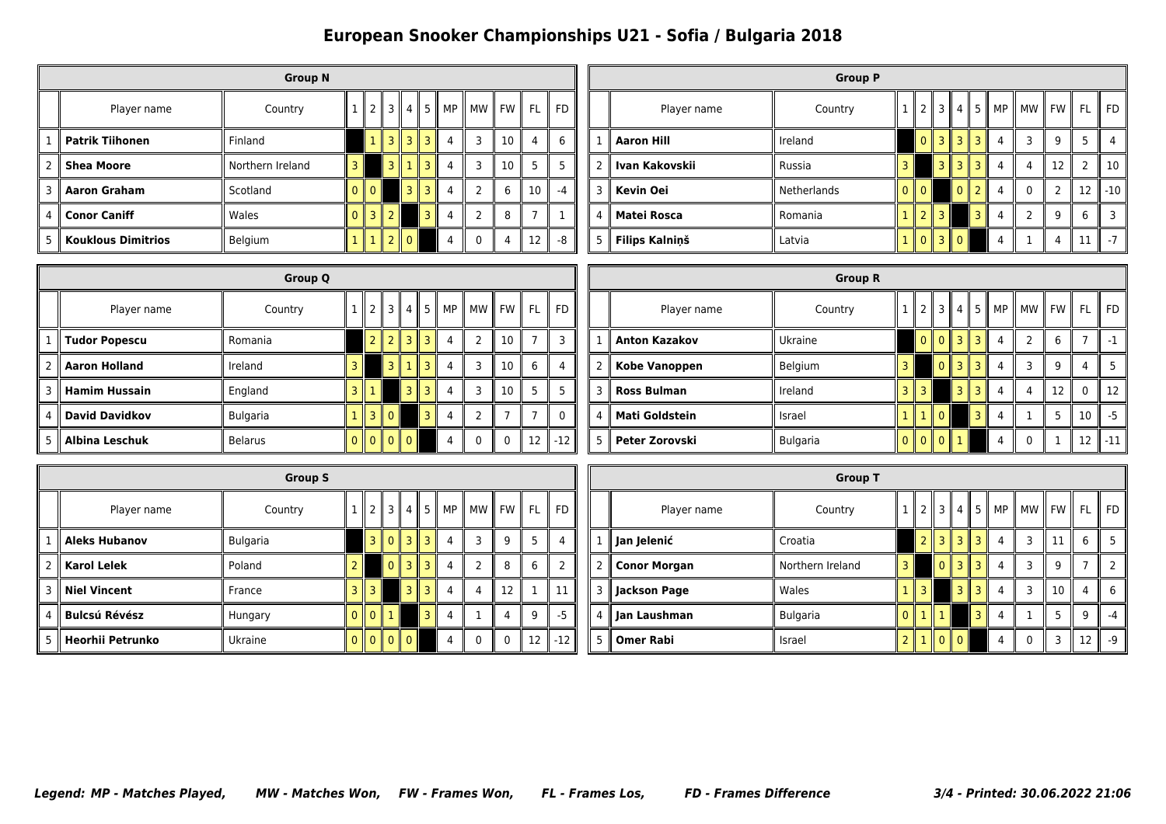|               |                           | <b>Group N</b>   |                 |                 |                   |                   |            |       |      |           |           |
|---------------|---------------------------|------------------|-----------------|-----------------|-------------------|-------------------|------------|-------|------|-----------|-----------|
|               | Player name               | Country          |                 |                 |                   |                   | 2 3 4 5 MP | MW II | FW I | <b>FL</b> | <b>FD</b> |
|               | <b>Patrik Tiihonen</b>    | Finland          | $\overline{1}$  | 3 I             | 3<br>$\mathbf{I}$ | 3                 | 4          | 3     | 10   | 4         | 6         |
| $\mathcal{P}$ | <b>Shea Moore</b>         | Northern Ireland |                 | 3 II            |                   | 3                 | 4          | 3     | 10   | 5         | 5         |
| 3             | <b>Aaron Graham</b>       | Scotland         | $\parallel 0$   |                 | 3                 | $\mathbf{R}$<br>Ш | 4          |       | 6    | 10        | $-4$      |
| 4             | <b>Conor Caniff</b>       | Wales            | $3 \mid 2$<br>Ш |                 |                   | 3                 | 4          |       | 8    |           |           |
| 5             | <b>Kouklous Dimitrios</b> | Belgium          | $\mathbf{1}$    | $2 \parallel 0$ |                   |                   |            |       | 4    | 12        | $-8$      |

|               |                    | <b>Group P</b> |         |               |                 |                |                     |                |                                       |    |           |       |
|---------------|--------------------|----------------|---------|---------------|-----------------|----------------|---------------------|----------------|---------------------------------------|----|-----------|-------|
|               | Player name        | Country        |         | $\parallel$ 2 |                 |                |                     |                | $\ 3\ 4\ 5\ $ MP $\ $ MW $\ $ FW $\ $ |    | <b>FL</b> | FD.   |
|               | <b>Aaron Hill</b>  | Ireland        |         | $\Omega$      | 3  3  3         |                |                     | 4              | ٩                                     | q  | 5         |       |
| $\mathcal{P}$ | ∣ Ivan Kakovskii   | Russia         | 3       |               | 3 II            | 3              | 3 I<br>$\mathbf{I}$ | $\overline{4}$ | 4                                     | 12 |           | 10    |
| 3             | Kevin Oei          | Netherlands    | $0$   0 |               |                 | 0 <sup>1</sup> | $\mathcal{P}$       | $\overline{4}$ | 0                                     | ำ  | 12        | $-10$ |
| 4             | <b>Matei Rosca</b> | Romania        |         | $1$   2   3   |                 |                | 3 II                | 4              | C                                     | 9  | 6         | ς     |
| 5             | Filips Kalniņš     | Latvia         |         |               | $1$   0   3   0 |                |                     |                |                                       | 4  | 11        | $-7$  |

|               | <b>Group Q</b> |          |  |  |               |                 |                |                                          |  |                |                 |     |           | <b>Group R</b> |                      |          |                |                 |                |        |                |                                  |  |  |  |                            |      |
|---------------|----------------|----------|--|--|---------------|-----------------|----------------|------------------------------------------|--|----------------|-----------------|-----|-----------|----------------|----------------------|----------|----------------|-----------------|----------------|--------|----------------|----------------------------------|--|--|--|----------------------------|------|
|               | Player name    | Country  |  |  |               |                 |                | $\ 2\ 3\ 4\ 5\ $ MP $\ $ MW $\ $ FW $\ $ |  |                |                 | FL. | <b>FD</b> |                | Player name          | Country  |                | 2 <sub>1</sub>  |                | 3    4 |                | - 5 II                           |  |  |  | MP    MW    FW    FL    FD |      |
|               | Tudor Popescu  | Romania  |  |  | $2$   2       |                 | $3 \mid 3$     |                                          |  | $\overline{2}$ | 10 <sup>°</sup> |     |           |                | <b>Anton Kazakov</b> | Ukraine  |                |                 | $0$   $0$      |        | 3 <sup>1</sup> | 3 <sup>1</sup><br>$\overline{4}$ |  |  |  |                            | - 1  |
| $\mathcal{P}$ | Aaron Holland  | Ireland  |  |  |               | 3 <sup>  </sup> | l 3.           |                                          |  | $\overline{3}$ | 10 <sup>1</sup> | 6   | 4         |                | Kobe Vanoppen        | Belgium  | $\overline{3}$ |                 |                | 0      | 3 <sup>1</sup> | 3 <sub>1</sub>                   |  |  |  |                            |      |
|               | Hamim Hussain  | England  |  |  |               |                 | 3 <sub>1</sub> |                                          |  | $\overline{3}$ | 10 <sup>°</sup> | 5 P |           | 3              | <b>Ross Bulman</b>   | Ireland  | 3 <sup>1</sup> |                 | 3 <sub>1</sub> |        | 3 <sup>1</sup> | $\overline{3}$                   |  |  |  | $\mathbf{0}$               | 12   |
|               | David Davidkov | Bulgaria |  |  | $1$    3    0 |                 |                |                                          |  | $\mathcal{D}$  |                 |     | $\Omega$  |                | Mati Goldstein       | Israel   |                |                 |                | 0      | 3              |                                  |  |  |  | 10                         | l -5 |
|               | Albina Leschuk | Belarus  |  |  | 0  0  0  0    |                 |                |                                          |  | $\mathbf 0$    | $\mathbf{0}$    | 12  | $-12$     |                | Peter Zorovski       | Bulgaria |                | $0$   $0$   $0$ |                |        |                |                                  |  |  |  | 12                         | -11  |

|                | <b>Group S</b>       |                 |          |                                         |              |                |      |          |                |       |           |                          |  |  |  |
|----------------|----------------------|-----------------|----------|-----------------------------------------|--------------|----------------|------|----------|----------------|-------|-----------|--------------------------|--|--|--|
|                | Player name          | Country         |          | $\mathbb{I}$                            | $2$   3      | 4 II           |      | $5$   MP | MW             | FW II | <b>FL</b> | II FD                    |  |  |  |
|                | <b>Aleks Hubanov</b> | <b>Bulgaria</b> |          |                                         | $3$   0   3  |                | 3 II | 4        | 3              | 9     | 5         | 4                        |  |  |  |
| $\overline{2}$ | <b>Karol Lelek</b>   | Poland          |          |                                         | $\mathbf{0}$ | $\overline{3}$ | 3    | 4        | $\overline{2}$ | 8     | 6         | $\overline{\phantom{0}}$ |  |  |  |
| 3              | <b>Niel Vincent</b>  | France          |          | 3                                       |              | 31             | 3    | 4        | 4              | 12    |           | 11                       |  |  |  |
| 4              | Bulcsú Révész        | Hungary         | $\Omega$ | $\vert \vert$ 0 $\vert$ 1               |              |                | 3    | 4        | 1              | 4     | 9         | $-5$                     |  |  |  |
| 5              | Heorhii Petrunko     | Ukraine         | 0        | $\parallel$ 0 $\parallel$ 0 $\parallel$ |              | II O           |      | 4        | $\mathbf{0}$   | 0     | 12        | $-12$                    |  |  |  |

|      | <b>Group T</b>      |                  |   |                |                |                 |   |                |              |           |           |           |  |  |
|------|---------------------|------------------|---|----------------|----------------|-----------------|---|----------------|--------------|-----------|-----------|-----------|--|--|
|      | Player name         | Country          |   |                | 3    4    5    |                 |   | MP             | MW           | <b>FW</b> | <b>FL</b> | <b>FD</b> |  |  |
| 1 I  | Jan Jelenić         | Croatia          |   | 2 <sup>1</sup> |                | $3$   $3$   $3$ |   | 4              | 3            | 11        | 6         | 5         |  |  |
| 2 II | <b>Conor Morgan</b> | Northern Ireland | З |                | $\overline{0}$ | $3 \parallel 3$ |   | $\overline{4}$ | ٦            | 9         |           |           |  |  |
| 3 II | <b>Jackson Page</b> | Wales            |   | 3              |                | 3 II            | R | $\overline{4}$ | 3            | 10        | 4         | 6         |  |  |
| 4 I  | Jan Laushman        | <b>Bulgaria</b>  | 0 | ll 1           |                |                 | 3 | 4              |              | 5         | 9         | -4        |  |  |
| 5    | <b>Omer Rabi</b>    | Israel           |   | 1  0  0        |                |                 |   | 4              | $\mathbf{0}$ | 3         | 12        | $-9$      |  |  |